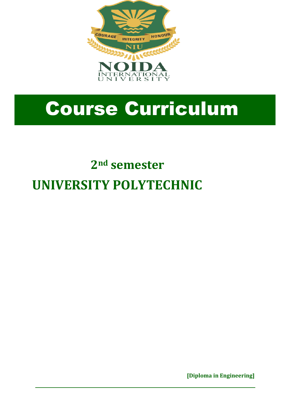

# Course Curriculum

# **2nd semester UNIVERSITY POLYTECHNIC**

 **[Diploma in Engineering]**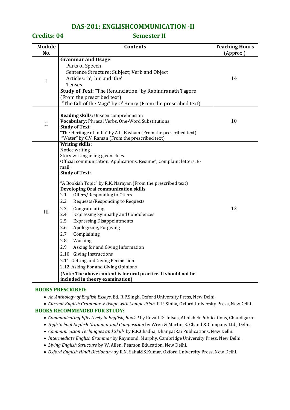### **DAS-201: ENGLISHCOMMUNICATION -II**

### **Credits: 04 Semester II**

| <b>Contents</b>                                                                                                                                                                                                                                                                                                                                                                                                                                                                                                                                                                                                                                                                                                                                                                       | <b>Teaching Hours</b>                                                                  |
|---------------------------------------------------------------------------------------------------------------------------------------------------------------------------------------------------------------------------------------------------------------------------------------------------------------------------------------------------------------------------------------------------------------------------------------------------------------------------------------------------------------------------------------------------------------------------------------------------------------------------------------------------------------------------------------------------------------------------------------------------------------------------------------|----------------------------------------------------------------------------------------|
|                                                                                                                                                                                                                                                                                                                                                                                                                                                                                                                                                                                                                                                                                                                                                                                       | (Approx.)                                                                              |
| Parts of Speech<br>Sentence Structure: Subject; Verb and Object<br>Articles: 'a', 'an' and 'the'<br>Tenses<br><b>Study of Text: "The Renunciation" by Rabindranath Tagore</b><br>(From the prescribed text)<br>"The Gift of the Magi" by O' Henry (From the prescribed text)                                                                                                                                                                                                                                                                                                                                                                                                                                                                                                          | 14                                                                                     |
| Reading skills: Unseen comprehension<br>Vocabulary: Phrasal Verbs, One-Word Substitutions<br><b>Study of Text:</b><br>"The Heritage of India" by A.L. Basham (From the prescribed text)<br>"Water" by C.V. Raman (From the prescribed text)                                                                                                                                                                                                                                                                                                                                                                                                                                                                                                                                           | 10                                                                                     |
| Notice writing<br>Story writing using given clues<br>Official communication: Applications, Resume', Complaint letters, E-<br>mail,<br><b>Study of Text:</b><br>"A Bookish Topic" by R.K. Narayan (From the prescribed text)<br><b>Developing Oral communication skills</b><br>2.1<br>Offers/Responding to Offers<br>2.2<br>Requests/Responding to Requests<br>2.3<br>Congratulating<br>2.4<br><b>Expressing Sympathy and Condolences</b><br>2.5<br><b>Expressing Disappointments</b><br>2.6<br>Apologizing, Forgiving<br>2.7<br>Complaining<br>2.8<br>Warning<br>2.9<br>Asking for and Giving Information<br>2.10 Giving Instructions<br>2.11 Getting and Giving Permission<br>2.12 Asking For and Giving Opinions<br>(Note: The above content is for oral practice. It should not be | 12                                                                                     |
|                                                                                                                                                                                                                                                                                                                                                                                                                                                                                                                                                                                                                                                                                                                                                                                       | <b>Grammar and Usage:</b><br><b>Writing skills:</b><br>included in theory examination) |

#### **BOOKS PRESCRIBED:**

- *An Anthology of English Essays*, Ed. R.P.Singh, Oxford University Press, New Delhi.
- *Current English Grammar & Usage with Composition,* R.P. Sinha, Oxford University Press, NewDelhi.

#### **BOOKS RECOMMENDED FOR STUDY:**

- *Communicating Effectively in English, Book-I* by RevathiSrinivas, Abhishek Publications, Chandigarh.
- *High School English Grammar and Composition* by Wren & Martin, S. Chand & Company Ltd., Delhi.
- *Communication Techniques and Skills* by R.K.Chadha, DhanpatRai Publications, New Delhi.
- *Intermediate English Grammar* by Raymond, Murphy, Cambridge University Press, New Delhi.
- *Living English Structure* by W. Allen, Pearson Education, New Delhi.
- *Oxford English Hindi Dictionary* by R.N. Sahai&S.Kumar, Oxford University Press, New Delhi.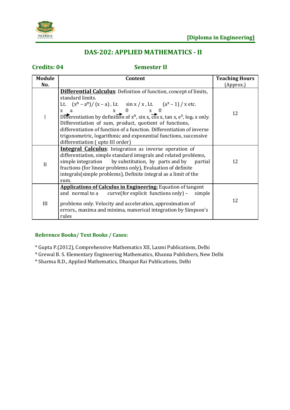

# **DAS-202: APPLIED MATHEMATICS - II**

# **Credits: 04 Semester II**

| <b>Module</b> | <b>Teaching Hours</b><br>Content                                                                                                                                                                                                                                                                                                                                                                                                                                                                                                                                                                          |           |
|---------------|-----------------------------------------------------------------------------------------------------------------------------------------------------------------------------------------------------------------------------------------------------------------------------------------------------------------------------------------------------------------------------------------------------------------------------------------------------------------------------------------------------------------------------------------------------------------------------------------------------------|-----------|
| No.           |                                                                                                                                                                                                                                                                                                                                                                                                                                                                                                                                                                                                           | (Approx.) |
| I             | <b>Differential Calculus</b> : Definition of function, concept of limits,<br>standard limits.<br>Lt. $(x^n - a^n)/(x - a)$ , Lt. $\sin x / x$ , Lt. $(a^x - 1) / x$ etc.<br>$X = \begin{pmatrix} 0 & x \\ y & z \end{pmatrix}$<br>$x \quad a$<br>Differentiation by definition of $x^n$ , sin x, $\overline{\cos}$ x, tan x, $e^x$ , log <sub>a</sub> x only.<br>Differentiation of sum, product, quotient of functions,<br>differentiation of function of a function. Differentiation of inverse<br>trigonometric, logarithmic and exponential functions, successive<br>differentiation (upto III order) | 12        |
| $\mathbf{I}$  | <b>Integral Calculus:</b> Integration as inverse operation of<br>differentiation, simple standard integrals and related problems,<br>simple integration by substitution, by parts and by<br>partial<br>fractions (for linear problems only), Evaluation of definite<br>integrals (simple problems), Definite integral as a limit of the<br>sum.                                                                                                                                                                                                                                                           | 12        |
| III           | <b>Applications of Calculus in Engineering:</b> Equation of tangent<br>and normal to a curve (for explicit functions only) $-$<br>simple<br>problems only. Velocity and acceleration, approximation of<br>errors., maxima and minima, numerical integration by Simpson's<br>rules                                                                                                                                                                                                                                                                                                                         | 12        |

### **Reference Books/ Text Books / Cases:**

\* Gupta P.(2012), Comprehensive Mathematics XII, Laxmi Publications, Delhi

\* Grewal B. S. Elementary Engineering Mathematics, Khanna Publishers, New Delhi

\* Sharma R.D., Applied Mathematics, Dhanpat Rai Publications, Delhi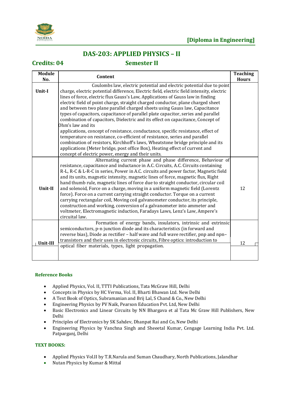

# **DAS-203: APPLIED PHYSICS – II**

### **Credits: 04 Semester II**

| <b>Module</b><br>No. | Content                                                                                                                                                                                                                                                                                                                                                                                                                                                                                                                                                                                                                                                                                                                                                                                                                                                                                                                                                                                                      | <b>Teaching</b><br><b>Hours</b> |
|----------------------|--------------------------------------------------------------------------------------------------------------------------------------------------------------------------------------------------------------------------------------------------------------------------------------------------------------------------------------------------------------------------------------------------------------------------------------------------------------------------------------------------------------------------------------------------------------------------------------------------------------------------------------------------------------------------------------------------------------------------------------------------------------------------------------------------------------------------------------------------------------------------------------------------------------------------------------------------------------------------------------------------------------|---------------------------------|
| Unit-I               | Coulombs law, electric potential and electric potential due to point<br>charge, electric potential difference, Electric field, electric field intensity, electric<br>lines of force, electric flux Gauss's Law, Applications of Gauss law in finding<br>electric field of point charge, straight charged conductor, plane charged sheet<br>and between two plane parallel charged sheets using Gauss law, Capacitance<br>types of capacitors, capacitance of parallel plate capacitor, series and parallel<br>combination of capacitors, Dielectric and its effect on capacitance, Concept of<br>Ohm's law and its<br>applications, concept of resistance, conductance, specific resistance, effect of<br>temperature on resistance, co-efficient of resistance, series and parallel<br>combination of resistors, Kirchhoff's laws, Wheatstone bridge principle and its<br>applications (Meter bridge, post office Box), Heating effect of current and<br>concept of electric power, energy and their units. |                                 |
| Unit-II              | Alternating current phase and phase difference, Behaviour of<br>resistance, capacitance and inductance in A.C. Circuits, A.C. Circuits containing<br>R-L, R-C & L-R-C in series, Power in A.C. circuits and power factor, Magnetic field<br>and its units, magnetic intensity, magnetic lines of force, magnetic flux, Right<br>hand thumb rule, magnetic lines of force due to straight conductor, circular coil<br>and solenoid, Force on a charge, moving in a uniform magnetic field (Lorentz<br>force). Force on a current carrying straight conductor. Torque on a current<br>carrying rectangular coil, Moving coil galvanometer conductor, its principle,<br>construction and working, conversion of a galvanometer into ammeter and<br>voltmeter, Electromagnetic induction, Faradays Laws, Lenz's Law, Ampere's<br>circuital law.                                                                                                                                                                  | 12                              |
| Unit-III             | Formation of energy bands, insulators, intrinsic and extrinsic<br>semiconductors, p-n junction diode and its characteristics (in forward and<br>reverse bias), Diode as rectifier - half wave and full wave rectifier, pnp and npn-<br>transistors and their uses in electronic circuits, Fibre optics: introduction to<br>optical fiber materials, types, light propagation.                                                                                                                                                                                                                                                                                                                                                                                                                                                                                                                                                                                                                                | 12                              |

#### **Reference Books**

- Applied Physics, Vol. II, TTTI Publications, Tata McGraw Hill, Delhi
- Concepts in Physics by HC Verma, Vol. II, Bharti Bhawan Ltd. New Delhi
- A Text Book of Optics, Subramanian and Brij Lal, S Chand & Co., New Delhi
- Engineering Physics by PV Naik, Pearson Education Pvt. Ltd, New Delhi
- Basic Electronics and Linear Circuits by NN Bhargava et al Tata Mc Graw Hill Publishers, New Delhi
- Principles of Electronics by SK Sahdev, Dhanpat Rai and Co, New Delhi
- Engineering Physics by Vanchna Singh and Sheeetal Kumar, Cengage Learning India Pvt. Ltd. Patparganj, Delhi

#### **TEXT BOOKS:**

- Applied Physics Vol.II by T.R.Narula and Suman Chaudhary, North Publications, Jalandhar
- Nutan Physics by Kumar & Mittal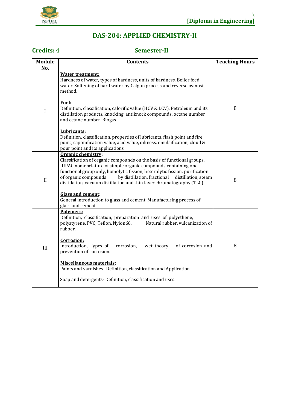

# **DAS-204: APPLIED CHEMISTRY-II**

# **Credits: 4 Semester-II**

| <b>Module</b><br>No. | <b>Contents</b>                                                                                                                                                                                                                                                                                                                                                                                                                                                                                        | <b>Teaching Hours</b> |
|----------------------|--------------------------------------------------------------------------------------------------------------------------------------------------------------------------------------------------------------------------------------------------------------------------------------------------------------------------------------------------------------------------------------------------------------------------------------------------------------------------------------------------------|-----------------------|
| $\mathbf I$          | <b>Water treatment:</b><br>Hardness of water, types of hardness, units of hardness. Boiler feed<br>water. Softening of hard water by Calgon process and reverse osmosis<br>method.                                                                                                                                                                                                                                                                                                                     |                       |
|                      | <b>Fuel:</b><br>Definition, classification, calorific value (HCV & LCV). Petroleum and its<br>distillation products, knocking, antiknock compounds, octane number<br>and cetane number. Biogas.                                                                                                                                                                                                                                                                                                        | 8                     |
|                      | Lubricants:<br>Definition, classification, properties of lubricants, flash point and fire<br>point, saponification value, acid value, oiliness, emulsification, cloud &<br>pour point and its applications                                                                                                                                                                                                                                                                                             |                       |
| II                   | Organic chemistry:<br>Classification of organic compounds on the basis of functional groups.<br>IUPAC nomenclature of simple organic compounds containing one<br>functional group only, homolytic fission, heterolytic fission, purification<br>by distillation, fractional<br>of organic compounds<br>distillation, steam<br>distillation, vacuum distillation and thin layer chromatography (TLC).<br><b>Glass and cement:</b><br>General introduction to glass and cement. Manufacturing process of | 8                     |
|                      | glass and cement.<br>Polymers:<br>Definition, classification, preparation and uses of polyethene,                                                                                                                                                                                                                                                                                                                                                                                                      |                       |
| III                  | polystyrene, PVC, Teflon, Nylon66,<br>Natural rubber, vulcanization of<br>rubber.                                                                                                                                                                                                                                                                                                                                                                                                                      |                       |
|                      | Corrosion:<br>Introduction, Types of<br>wet theory<br>of corrosion and<br>corrosion,<br>prevention of corrosion.                                                                                                                                                                                                                                                                                                                                                                                       | 8                     |
|                      | <b>Miscellaneous materials:</b><br>Paints and varnishes- Definition, classification and Application.                                                                                                                                                                                                                                                                                                                                                                                                   |                       |
|                      | Soap and detergents- Definition, classification and uses.                                                                                                                                                                                                                                                                                                                                                                                                                                              |                       |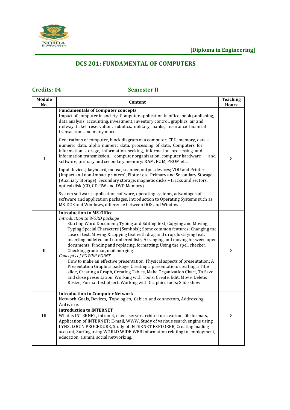

# **DCS 201: FUNDAMENTAL OF COMPUTERS**

# **Credits: 04 Semester II**

| <b>Module</b><br>No. | Content                                                                                                                                                                                                                                                                                                                                                                                                                                                                                                                                                                                                                                                                                                                                                                                                                                                                                                      | <b>Teaching</b><br><b>Hours</b> |
|----------------------|--------------------------------------------------------------------------------------------------------------------------------------------------------------------------------------------------------------------------------------------------------------------------------------------------------------------------------------------------------------------------------------------------------------------------------------------------------------------------------------------------------------------------------------------------------------------------------------------------------------------------------------------------------------------------------------------------------------------------------------------------------------------------------------------------------------------------------------------------------------------------------------------------------------|---------------------------------|
|                      | <b>Fundamentals of Computer concepts</b><br>Impact of computer in society: Computer application in office, book publishing,<br>data analysis, accounting, investment, inventory control, graphics, air and<br>railway ticket reservation, robotics, military, banks, Insurance financial<br>transactions and many more.                                                                                                                                                                                                                                                                                                                                                                                                                                                                                                                                                                                      |                                 |
| $\mathbf I$          | Generations of computer, block diagram of a computer, CPU, memory, data -<br>numeric data, alpha numeric data, processing of data. Computers for<br>information storage, information seeking, information processing and<br>information transmission, computer organization, computer hardware<br>and<br>software; primary and secondary memory: RAM, ROM, PROM etc.                                                                                                                                                                                                                                                                                                                                                                                                                                                                                                                                         | 8                               |
|                      | Input devices; keyboard, mouse, scanner, output devices; VDU and Printer<br>(Impact and non-Impact printers), Plotter etc. Primary and Secondary Storage<br>(Auxiliary Storage), Secondary storage; magnetic disks - tracks and sectors,<br>optical disk (CD, CD-RW and DVD Memory)                                                                                                                                                                                                                                                                                                                                                                                                                                                                                                                                                                                                                          |                                 |
|                      | System software, application software, operating systems, advantages of<br>software and application packages. Introduction to Operating Systems such as<br>MS-DOS and Windows, difference between DOS and Windows.                                                                                                                                                                                                                                                                                                                                                                                                                                                                                                                                                                                                                                                                                           |                                 |
| $\mathbf{I}$         | <b>Introduction to MS-Office</b><br>Introduction to WORD package<br>Starting Word Document; Typing and Editing text, Copying and Moving,<br>Typing Special Characters (Symbols); Some common features: Changing the<br>case of text, Moving & copying text with drag and drop, Justifying text,<br>inserting bulleted and numbered lists, Arranging and moving between open<br>documents; Finding and replacing, formatting; Using the spell checker,<br>Checking grammar, mail merging<br>Concepts of POWER POINT<br>How to make an effective presentation, Physical aspects of presentation; A<br>Presentation Graphics package; Creating a presentation: creating a Title<br>slide, Creating a Graph, Creating Tables, Make Organization Chart, To Save<br>and close presentation; Working with Tools: Create, Edit, Move, Delete,<br>Resize, Format text object, Working with Graphics tools; Slide show | 8                               |
| III                  | <b>Introduction to Computer Network</b><br>Network Goals, Devices, Topologies, Cables and connectors, Addressing,<br>Antivirus<br><b>Introduction to INTERNET</b><br>What is INTERNET, intranet, client-server architecture, various file formats,<br>Application of INTERNET: E-mail, WWW, Study of various search engine using<br>LYNX, LOGIN PROCEDURE, Study of INTERNET EXPLORER, Creating mailing<br>account, Surfing using WORLD WIDE WEB information relating to employment,<br>education, alumni, social networking.                                                                                                                                                                                                                                                                                                                                                                                | 8                               |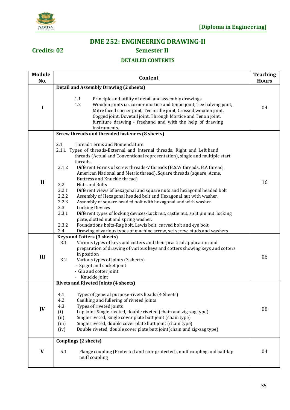

# **DME 252: ENGINEERING DRAWING-II**

# **Credits: 02 Semester II**

#### **DETAILED CONTENTS**

| <b>Module</b> | <b>Teaching</b><br>Content                                                                                                                                                                                                                                                                                                                                                                                                                                                                                                                                                                                                                                                                                                                                                                                                                                                                                                                                                                                       |              |  |
|---------------|------------------------------------------------------------------------------------------------------------------------------------------------------------------------------------------------------------------------------------------------------------------------------------------------------------------------------------------------------------------------------------------------------------------------------------------------------------------------------------------------------------------------------------------------------------------------------------------------------------------------------------------------------------------------------------------------------------------------------------------------------------------------------------------------------------------------------------------------------------------------------------------------------------------------------------------------------------------------------------------------------------------|--------------|--|
| No.           |                                                                                                                                                                                                                                                                                                                                                                                                                                                                                                                                                                                                                                                                                                                                                                                                                                                                                                                                                                                                                  | <b>Hours</b> |  |
| I             | <b>Detail and Assembly Drawing (2 sheets)</b><br>1.1<br>Principle and utility of detail and assembly drawings<br>1.2<br>Wooden joints i.e. corner mortice and tenon joint, Tee halving joint,<br>Mitre faced corner joint, Tee bridle joint, Crossed wooden joint,<br>Cogged joint, Dovetail joint, Through Mortice and Tenon joint,<br>furniture drawing - freehand and with the help of drawing<br>instruments.                                                                                                                                                                                                                                                                                                                                                                                                                                                                                                                                                                                                | 04           |  |
|               | Screw threads and threaded fasteners (8 sheets)                                                                                                                                                                                                                                                                                                                                                                                                                                                                                                                                                                                                                                                                                                                                                                                                                                                                                                                                                                  |              |  |
| $\mathbf{I}$  | 2.1<br>Thread Terms and Nomenclature<br>2.1.1 Types of threads-External and Internal threads, Right and Left hand<br>threads (Actual and Conventional representation), single and multiple start<br>threads.<br>2.1.2<br>Different Forms of screw threads-V threads (B.S.W threads, B.A thread,<br>American National and Metric thread), Square threads (square, Acme,<br>Buttress and Knuckle thread)<br>2.2<br>Nuts and Bolts<br>2.2.1<br>Different views of hexagonal and square nuts and hexagonal headed bolt<br>2.2.2<br>Assembly of Hexagonal headed bolt and Hexagonal nut with washer.<br>2.2.3<br>Assembly of square headed bolt with hexagonal and with washer.<br>2.3<br><b>Locking Devices</b><br>2.3.1<br>Different types of locking devices-Lock nut, castle nut, split pin nut, locking<br>plate, slotted nut and spring washer.<br>2.3.2<br>Foundations bolts-Rag bolt, Lewis bolt, curved bolt and eye bolt.<br>2.4<br>Drawing of various types of machine screw, set screw, studs and washers | 16           |  |
| III           | <b>Keys and Cotters (3 sheets)</b><br>Various types of keys and cotters and their practical application and<br>3.1<br>preparation of drawing of various keys and cotters showing keys and cotters<br>in position<br>3.2<br>Various types of joints (3 sheets)<br>- Spigot and socket joint<br>- Gib and cotter joint<br>- Knuckle joint                                                                                                                                                                                                                                                                                                                                                                                                                                                                                                                                                                                                                                                                          | 06           |  |
| IV            | <b>Rivets and Riveted Joints (4 sheets)</b><br>Types of general purpose-rivets heads (4 Sheets)<br>4.1<br>4.2<br>Caulking and fullering of riveted joints<br>Types of riveted joints<br>4.3<br>Lap joint-Single riveted, double riveted (chain and zig-zag type)<br>(i)<br>Single riveted, Single cover plate butt joint (chain type)<br>(ii)<br>Single riveted, double cover plate butt joint (chain type)<br>(iii)<br>Double riveted, double cover plate butt joint(chain and zig-zag type)<br>(iv)                                                                                                                                                                                                                                                                                                                                                                                                                                                                                                            | 08           |  |
| V             | <b>Couplings (2 sheets)</b><br>5.1<br>Flange coupling (Protected and non-protected), muff coupling and half-lap<br>muff coupling                                                                                                                                                                                                                                                                                                                                                                                                                                                                                                                                                                                                                                                                                                                                                                                                                                                                                 | 04           |  |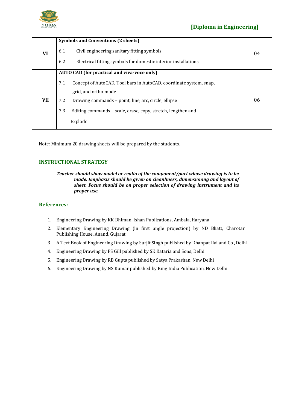

|     | <b>Symbols and Conventions (2 sheets)</b>          |                                                                    |    |
|-----|----------------------------------------------------|--------------------------------------------------------------------|----|
| VI  | 6.1                                                | Civil engineering sanitary fitting symbols                         | 04 |
|     | 6.2                                                | Electrical fitting symbols for domestic interior installations     |    |
|     | <b>AUTO CAD (for practical and viva-voce only)</b> |                                                                    |    |
|     | 7.1                                                | Concept of AutoCAD, Tool bars in AutoCAD, coordinate system, snap, |    |
|     |                                                    | grid, and ortho mode                                               |    |
| VII | 7.2                                                | Drawing commands - point, line, arc, circle, ellipse               | 06 |
|     | 7.3                                                | Editing commands – scale, erase, copy, stretch, lengthen and       |    |
|     |                                                    | Explode                                                            |    |

Note: Minimum 20 drawing sheets will be prepared by the students.

#### **INSTRUCTIONAL STRATEGY**

*Teacher should show model or realia of the component/part whose drawing is to be made. Emphasis should be given on cleanliness, dimensioning and layout of sheet. Focus should be on proper selection of drawing instrument and its proper use.*

#### **References:**

- 1. Engineering Drawing by KK Dhiman, Ishan Publications, Ambala, Haryana
- 2. Elementary Engineering Drawing (in first angle projection) by ND Bhatt, Charotar Publishing House, Anand, Gujarat
- 3. A Text Book of Engineering Drawing by Surjit Singh published by Dhanpat Rai and Co., Delhi
- 4. Engineering Drawing by PS Gill published by SK Kataria and Sons, Delhi
- 5. Engineering Drawing by RB Gupta published by Satya Prakashan, New Delhi
- 6. Engineering Drawing by NS Kumar published by King India Publication, New Delhi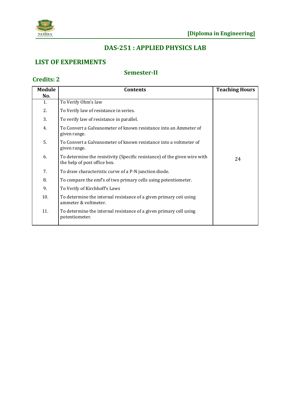

**Credits: 2**

# **DAS-251 : APPLIED PHYSICS LAB**

# **LIST OF EXPERIMENTS**

## **Semester-II**

| <b>Module</b> | <b>Contents</b>                                                                                           |    |
|---------------|-----------------------------------------------------------------------------------------------------------|----|
| No.           |                                                                                                           |    |
| 1.            | To Verify Ohm's law                                                                                       |    |
| 2.            | To Verify law of resistance in series.                                                                    |    |
| 3.            | To verify law of resistance in parallel.                                                                  |    |
| 4.            | To Convert a Galvanometer of known resistance into an Ammeter of<br>given range.                          |    |
| 5.            | To Convert a Galvanometer of known resistance into a voltmeter of<br>given range.                         |    |
| 6.            | To determine the resistivity (Specific resistance) of the given wire with<br>the help of post office box. | 24 |
| 7.            | To draw characteristic curve of a P-N junction diode.                                                     |    |
| 8.            | To compare the emf's of two primary cells using potentiometer.                                            |    |
| 9.            | To Verify of Kirchhoff's Laws                                                                             |    |
| 10.           | To determine the internal resistance of a given primary ceil using<br>ammeter & voltmeter.                |    |
| 11.           | To determine the internal resistance of a given primary cell using<br>potentiometer.                      |    |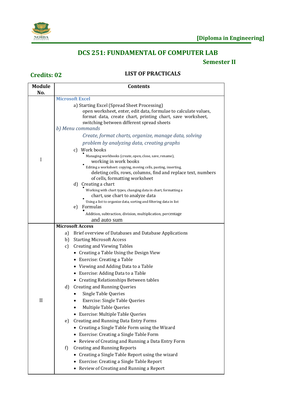

# **DCS 251: FUNDAMENTAL OF COMPUTER LAB**

# **Semester II**

# **Credits: 02 LIST OF PRACTICALS**

| <b>Module</b> | <b>Contents</b>                                                                                                                                                                                                                               |
|---------------|-----------------------------------------------------------------------------------------------------------------------------------------------------------------------------------------------------------------------------------------------|
| No.           | <b>Microsoft Excel</b>                                                                                                                                                                                                                        |
|               | a) Starting Excel (Spread Sheet Processing)<br>open worksheet, enter, edit data, formulae to calculate values,<br>format data, create chart, printing chart, save worksheet,<br>switching between different spread sheets<br>b) Menu commands |
|               | Create, format charts, organize, manage data, solving                                                                                                                                                                                         |
|               | problem by analyzing data, creating graphs                                                                                                                                                                                                    |
|               | c) Work books                                                                                                                                                                                                                                 |
| I             | Managing workbooks (create, open, close, save, rename),<br>working in work books                                                                                                                                                              |
|               | Editing a worksheet: copying, moving cells, pasting, inserting,<br>deleting cells, rows, columns, find and replace text, numbers<br>of cells, formatting worksheet                                                                            |
|               | d) Creating a chart                                                                                                                                                                                                                           |
|               | Working with chart types, changing data in chart, formatting a                                                                                                                                                                                |
|               | chart, use chart to analyze data<br>Using a list to organize data, sorting and filtering data in list                                                                                                                                         |
|               | Formulas<br>e)                                                                                                                                                                                                                                |
|               | Addition, subtraction, division, multiplication, percentage                                                                                                                                                                                   |
|               | and auto sum                                                                                                                                                                                                                                  |
|               | <b>Microsoft Access</b>                                                                                                                                                                                                                       |
|               | Brief overview of Databases and Database Applications<br>a)                                                                                                                                                                                   |
|               | <b>Starting Microsoft Access</b><br>b)                                                                                                                                                                                                        |
|               | <b>Creating and Viewing Tables</b><br>c)                                                                                                                                                                                                      |
|               | • Creating a Table Using the Design View                                                                                                                                                                                                      |
|               | • Exercise: Creating a Table                                                                                                                                                                                                                  |
|               | • Viewing and Adding Data to a Table                                                                                                                                                                                                          |
|               | • Exercise: Adding Data to a Table                                                                                                                                                                                                            |
|               | • Creating Relationships Between tables                                                                                                                                                                                                       |
|               | $\mathbf{d}$<br><b>Creating and Running Queries</b>                                                                                                                                                                                           |
|               | <b>Single Table Queries</b>                                                                                                                                                                                                                   |
| П             | <b>Exercise: Single Table Queries</b>                                                                                                                                                                                                         |
|               | Multiple Table Queries                                                                                                                                                                                                                        |
|               | • Exercise: Multiple Table Queries                                                                                                                                                                                                            |
|               | <b>Creating and Running Data Entry Forms</b><br>e)                                                                                                                                                                                            |
|               | • Creating a Single Table Form using the Wizard                                                                                                                                                                                               |
|               | • Exercise: Creating a Single Table Form                                                                                                                                                                                                      |
|               | • Review of Creating and Running a Data Entry Form                                                                                                                                                                                            |
|               | f)<br><b>Creating and Running Reports</b>                                                                                                                                                                                                     |
|               | • Creating a Single Table Report using the wizard                                                                                                                                                                                             |
|               | • Exercise: Creating a Single Table Report                                                                                                                                                                                                    |
|               | • Review of Creating and Running a Report                                                                                                                                                                                                     |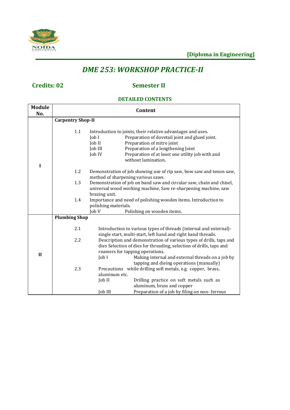

# *DME 253: WORKSHOP PRACTICE-II*

# **Credits: 02 Semester II**

### **DETAILED CONTENTS**

| <b>Module</b><br>No. |                          | Content                                                                                                                                                                                                                                                                                              |  |
|----------------------|--------------------------|------------------------------------------------------------------------------------------------------------------------------------------------------------------------------------------------------------------------------------------------------------------------------------------------------|--|
|                      | <b>Carpentry Shop-II</b> |                                                                                                                                                                                                                                                                                                      |  |
| I                    | 1.1                      | Introduction to joints, their relative advantages and uses.<br>Preparation of dovetail joint and glued joint.<br>Job I<br>Preparation of mitre joint<br>Job II<br>Preparation of a lengthening Joint<br>Job III<br>Preparation of at least one utility job with and<br>Job IV<br>without lamination. |  |
|                      | 1.2                      | Demonstration of job showing use of rip saw, bow saw and tenon saw,<br>method of sharpening various saws.                                                                                                                                                                                            |  |
|                      | 1.3                      | Demonstration of job on band saw and circular saw, chain and chisel,<br>universal wood working machine, Saw re-sharpening machine, saw<br>brazing unit.                                                                                                                                              |  |
|                      | 1.4                      | Importance and need of polishing wooden items. Introduction to<br>polishing materials.                                                                                                                                                                                                               |  |
|                      |                          | Job V<br>Polishing on wooden items.                                                                                                                                                                                                                                                                  |  |
|                      | <b>Plumbing Shop</b>     |                                                                                                                                                                                                                                                                                                      |  |
|                      | 2.1                      | Introduction to various types of threads (internal and external)-<br>single start, multi-start, left hand and right hand threads.                                                                                                                                                                    |  |
|                      | 2.2                      | Description and demonstration of various types of drills, taps and                                                                                                                                                                                                                                   |  |
|                      |                          | dies Selection of dies for threading, selection of drills, taps and                                                                                                                                                                                                                                  |  |
| $\mathbf{I}$         |                          | reamers for tapping operations.<br>$\text{Job}$ $\text{I}$<br>Making internal and external threads on a job by<br>tapping and dieing operations (manually)                                                                                                                                           |  |
|                      | 2.3                      | Precautions while drilling soft metals, e.g. copper, brass,                                                                                                                                                                                                                                          |  |
|                      |                          | aluminum etc.                                                                                                                                                                                                                                                                                        |  |
|                      |                          | Job II<br>Drilling practice on soft metals such as<br>aluminum, brass and copper                                                                                                                                                                                                                     |  |
|                      |                          | Preparation of a job by filing on non-ferrous<br>Job III                                                                                                                                                                                                                                             |  |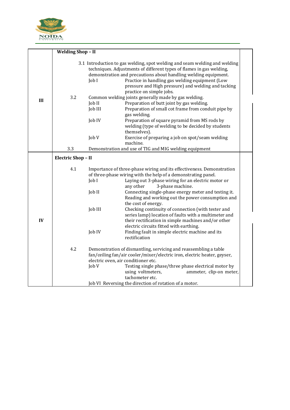

| 3.1 Introduction to gas welding, spot welding and seam welding and welding<br>techniques. Adjustments of different types of flames in gas welding,<br>demonstration and precautions about handling welding equipment.<br>Job I<br>Practice in handling gas welding equipment (Low<br>pressure and High pressure) and welding and tacking<br>practice on simple jobs.<br>3.2<br>Common welding joints generally made by gas welding.<br>III<br>Preparation of butt joint by gas welding.<br>Job II |  |
|---------------------------------------------------------------------------------------------------------------------------------------------------------------------------------------------------------------------------------------------------------------------------------------------------------------------------------------------------------------------------------------------------------------------------------------------------------------------------------------------------|--|
|                                                                                                                                                                                                                                                                                                                                                                                                                                                                                                   |  |
| Job III<br>Preparation of small cot frame from conduit pipe by<br>gas welding.<br>Job IV<br>Preparation of square pyramid from MS rods by<br>welding (type of welding to be decided by students<br>themselves).<br>Job V<br>Exercise of preparing a job on spot/seam welding<br>machine.                                                                                                                                                                                                          |  |
| 3.3<br>Demonstration and use of TIG and MIG welding equipment                                                                                                                                                                                                                                                                                                                                                                                                                                     |  |
| <b>Electric Shop - II</b>                                                                                                                                                                                                                                                                                                                                                                                                                                                                         |  |
| 4.1<br>Importance of three-phase wiring and its effectiveness. Demonstration<br>of three-phase wiring with the help of a demonstrating panel.<br>Job I<br>Laying out 3-phase wiring for an electric motor or<br>3-phase machine.<br>any other                                                                                                                                                                                                                                                     |  |
| Connecting single-phase energy meter and testing it.<br>Job II<br>Reading and working out the power consumption and<br>the cost of energy.                                                                                                                                                                                                                                                                                                                                                        |  |
| Job III<br>Checking continuity of connection (with tester and<br>series lamp) location of faults with a multimeter and<br>IV<br>their rectification in simple machines and/or other<br>electric circuits fitted with earthing.                                                                                                                                                                                                                                                                    |  |
| Job IV<br>Finding fault in simple electric machine and its<br>rectification                                                                                                                                                                                                                                                                                                                                                                                                                       |  |
| 4.2<br>Demonstration of dismantling, servicing and reassembling a table<br>fan/ceiling fan/air cooler/mixer/electric iron, electric heater, geyser,<br>electric oven, air conditioner etc.<br>Job V<br>Testing single phase/three phase electrical motor by<br>using voltmeters,<br>ammeter, clip-on meter,<br>tachometer etc.<br>Job VI Reversing the direction of rotation of a motor.                                                                                                          |  |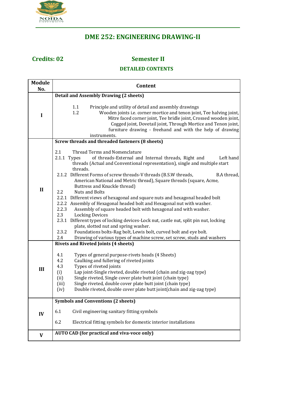

# **DME 252: ENGINEERING DRAWING-II**

# **Credits: 02 Semester II**

### **DETAILED CONTENTS**

| <b>Module</b><br>No. | Content                                                                                                                                                                                                                                                                                                                                                                                                                                                                                                                                                                                                                                                                                                                                                                                                                                                                                                                                                                                                              |  |  |
|----------------------|----------------------------------------------------------------------------------------------------------------------------------------------------------------------------------------------------------------------------------------------------------------------------------------------------------------------------------------------------------------------------------------------------------------------------------------------------------------------------------------------------------------------------------------------------------------------------------------------------------------------------------------------------------------------------------------------------------------------------------------------------------------------------------------------------------------------------------------------------------------------------------------------------------------------------------------------------------------------------------------------------------------------|--|--|
|                      | <b>Detail and Assembly Drawing (2 sheets)</b>                                                                                                                                                                                                                                                                                                                                                                                                                                                                                                                                                                                                                                                                                                                                                                                                                                                                                                                                                                        |  |  |
| I                    | 1.1<br>Principle and utility of detail and assembly drawings<br>1.2<br>Wooden joints i.e. corner mortice and tenon joint, Tee halving joint,<br>Mitre faced corner joint, Tee bridle joint, Crossed wooden joint,<br>Cogged joint, Dovetail joint, Through Mortice and Tenon joint,<br>furniture drawing - freehand and with the help of drawing<br>instruments.                                                                                                                                                                                                                                                                                                                                                                                                                                                                                                                                                                                                                                                     |  |  |
|                      | Screw threads and threaded fasteners (8 sheets)                                                                                                                                                                                                                                                                                                                                                                                                                                                                                                                                                                                                                                                                                                                                                                                                                                                                                                                                                                      |  |  |
| $\mathbf{I}$         | 2.1<br>Thread Terms and Nomenclature<br>2.1.1 Types<br>of threads-External and Internal threads, Right and<br>Left hand<br>threads (Actual and Conventional representation), single and multiple start<br>threads.<br>2.1.2 Different Forms of screw threads-V threads (B.S.W threads,<br>B.A thread,<br>American National and Metric thread), Square threads (square, Acme,<br>Buttress and Knuckle thread)<br><b>Nuts and Bolts</b><br>2.2<br>2.2.1 Different views of hexagonal and square nuts and hexagonal headed bolt<br>2.2.2 Assembly of Hexagonal headed bolt and Hexagonal nut with washer.<br>2.2.3<br>Assembly of square headed bolt with hexagonal and with washer.<br>2.3<br><b>Locking Devices</b><br>2.3.1 Different types of locking devices-Lock nut, castle nut, split pin nut, locking<br>plate, slotted nut and spring washer.<br>Foundations bolts-Rag bolt, Lewis bolt, curved bolt and eye bolt.<br>2.3.2<br>2.4<br>Drawing of various types of machine screw, set screw, studs and washers |  |  |
|                      | <b>Rivets and Riveted Joints (4 sheets)</b>                                                                                                                                                                                                                                                                                                                                                                                                                                                                                                                                                                                                                                                                                                                                                                                                                                                                                                                                                                          |  |  |
| III                  | Types of general purpose-rivets heads (4 Sheets)<br>4.1<br>4.2<br>Caulking and fullering of riveted joints<br>4.3<br>Types of riveted joints<br>(i)<br>Lap joint-Single riveted, double riveted (chain and zig-zag type)<br>Single riveted, Single cover plate butt joint (chain type)<br>(ii)<br>Single riveted, double cover plate butt joint (chain type)<br>(iii)<br>Double riveted, double cover plate butt joint(chain and zig-zag type)<br>(iv)                                                                                                                                                                                                                                                                                                                                                                                                                                                                                                                                                               |  |  |
|                      | <b>Symbols and Conventions (2 sheets)</b>                                                                                                                                                                                                                                                                                                                                                                                                                                                                                                                                                                                                                                                                                                                                                                                                                                                                                                                                                                            |  |  |
| IV                   | 6.1<br>Civil engineering sanitary fitting symbols                                                                                                                                                                                                                                                                                                                                                                                                                                                                                                                                                                                                                                                                                                                                                                                                                                                                                                                                                                    |  |  |
|                      | 6.2<br>Electrical fitting symbols for domestic interior installations                                                                                                                                                                                                                                                                                                                                                                                                                                                                                                                                                                                                                                                                                                                                                                                                                                                                                                                                                |  |  |
| V                    | <b>AUTO CAD (for practical and viva-voce only)</b>                                                                                                                                                                                                                                                                                                                                                                                                                                                                                                                                                                                                                                                                                                                                                                                                                                                                                                                                                                   |  |  |